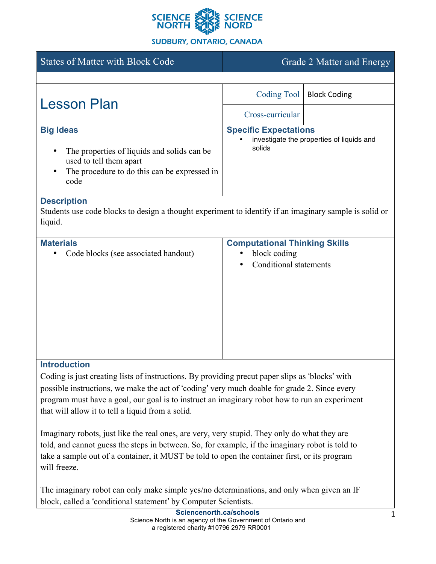

## **SUDBURY, ONTARIO, CANADA**

| <b>States of Matter with Block Code</b>                                                                                                                                                                                                                                                                                                                                                                                                                                      | Grade 2 Matter and Energy                                                             |                     |
|------------------------------------------------------------------------------------------------------------------------------------------------------------------------------------------------------------------------------------------------------------------------------------------------------------------------------------------------------------------------------------------------------------------------------------------------------------------------------|---------------------------------------------------------------------------------------|---------------------|
|                                                                                                                                                                                                                                                                                                                                                                                                                                                                              |                                                                                       |                     |
| <b>Lesson Plan</b>                                                                                                                                                                                                                                                                                                                                                                                                                                                           | <b>Coding Tool</b>                                                                    | <b>Block Coding</b> |
|                                                                                                                                                                                                                                                                                                                                                                                                                                                                              | Cross-curricular                                                                      |                     |
| <b>Big Ideas</b><br>The properties of liquids and solids can be<br>used to tell them apart<br>The procedure to do this can be expressed in<br>code                                                                                                                                                                                                                                                                                                                           | <b>Specific Expectations</b><br>investigate the properties of liquids and<br>solids   |                     |
| <b>Description</b><br>Students use code blocks to design a thought experiment to identify if an imaginary sample is solid or<br>liquid.                                                                                                                                                                                                                                                                                                                                      |                                                                                       |                     |
| <b>Materials</b><br>Code blocks (see associated handout)                                                                                                                                                                                                                                                                                                                                                                                                                     | <b>Computational Thinking Skills</b><br>block coding<br><b>Conditional statements</b> |                     |
| <b>Introduction</b><br>Coding is just creating lists of instructions. By providing precut paper slips as 'blocks' with<br>possible instructions, we make the act of 'coding' very much doable for grade 2. Since every<br>program must have a goal, our goal is to instruct an imaginary robot how to run an experiment<br>that will allow it to tell a liquid from a solid.<br>Imaginary robots, just like the real ones, are very, very stupid. They only do what they are |                                                                                       |                     |

told, and cannot guess the steps in between. So, for example, if the imaginary robot is told to take a sample out of a container, it MUST be told to open the container first, or its program will freeze.

The imaginary robot can only make simple yes/no determinations, and only when given an IF block, called a 'conditional statement' by Computer Scientists.